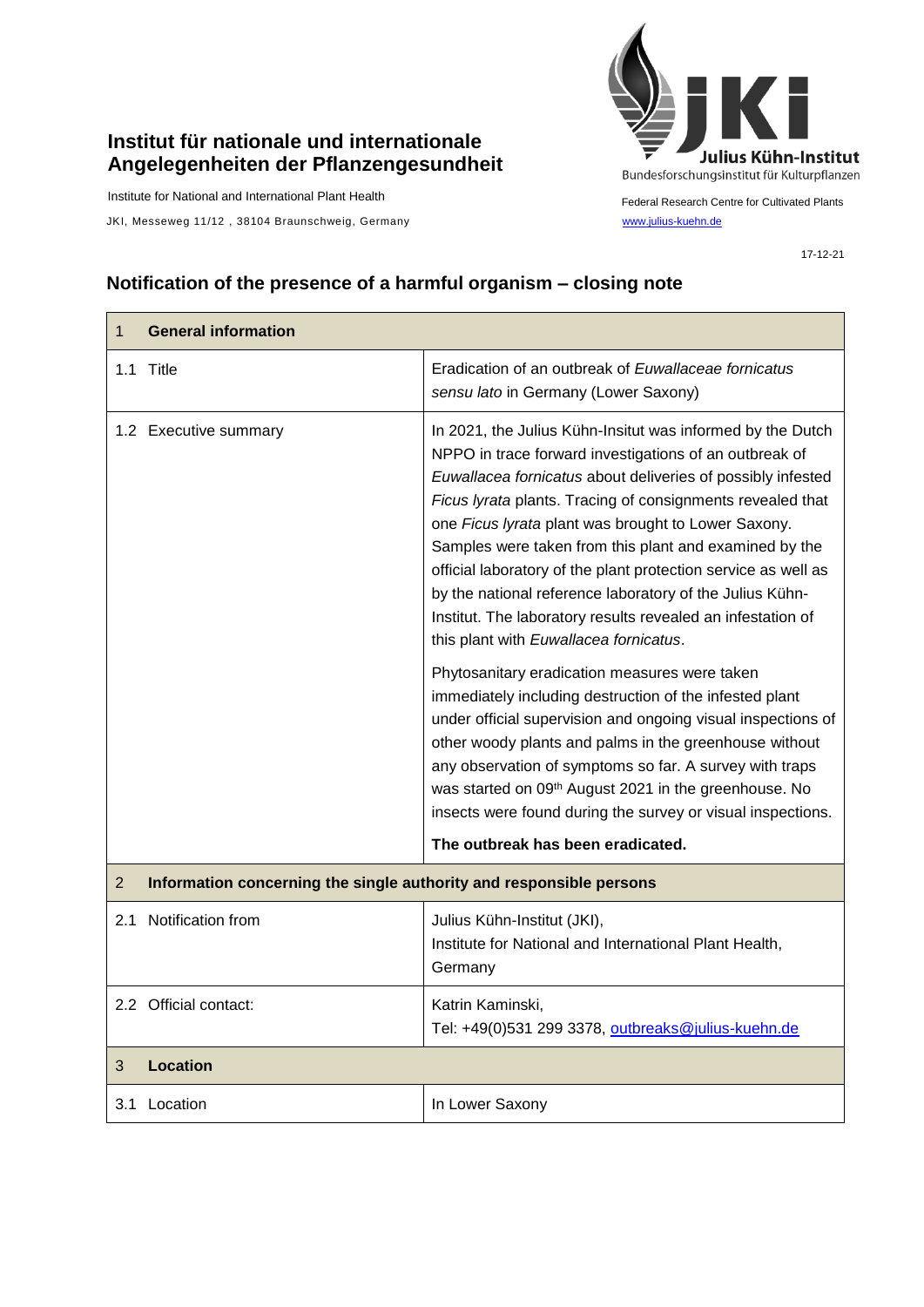## **Institut für nationale und internationale Angelegenheiten der Pflanzengesundheit**

Institute for National and International Plant Health

JKI, Messeweg 11/12, 38104 Braunschweig, Germany [www.julius-kuehn.de](http://www.julius-kuehn.de/)



Federal Research Centre for Cultivated Plants

17-12-21

## **Notification of the presence of a harmful organism – closing note**

| 1.1 Title<br>Eradication of an outbreak of Euwallaceae fornicatus<br>sensu lato in Germany (Lower Saxony)<br>1.2 Executive summary<br>In 2021, the Julius Kühn-Insitut was informed by the Dutch<br>NPPO in trace forward investigations of an outbreak of<br>Euwallacea fornicatus about deliveries of possibly infested<br>Ficus lyrata plants. Tracing of consignments revealed that<br>one Ficus lyrata plant was brought to Lower Saxony.<br>Samples were taken from this plant and examined by the<br>official laboratory of the plant protection service as well as<br>by the national reference laboratory of the Julius Kühn-<br>Institut. The laboratory results revealed an infestation of<br>this plant with Euwallacea fornicatus.<br>Phytosanitary eradication measures were taken<br>immediately including destruction of the infested plant<br>under official supervision and ongoing visual inspections of<br>other woody plants and palms in the greenhouse without<br>any observation of symptoms so far. A survey with traps<br>was started on 09th August 2021 in the greenhouse. No<br>insects were found during the survey or visual inspections.<br>The outbreak has been eradicated.<br>Information concerning the single authority and responsible persons<br>$\overline{2}$<br>2.1 Notification from<br>Julius Kühn-Institut (JKI),<br>Institute for National and International Plant Health,<br>Germany<br>2.2 Official contact:<br>Katrin Kaminski,<br>Tel: +49(0)531 299 3378, outbreaks@julius-kuehn.de<br><b>Location</b><br>3<br>In Lower Saxony<br>3.1 Location | $\mathbf{1}$ | <b>General information</b> |  |  |
|---------------------------------------------------------------------------------------------------------------------------------------------------------------------------------------------------------------------------------------------------------------------------------------------------------------------------------------------------------------------------------------------------------------------------------------------------------------------------------------------------------------------------------------------------------------------------------------------------------------------------------------------------------------------------------------------------------------------------------------------------------------------------------------------------------------------------------------------------------------------------------------------------------------------------------------------------------------------------------------------------------------------------------------------------------------------------------------------------------------------------------------------------------------------------------------------------------------------------------------------------------------------------------------------------------------------------------------------------------------------------------------------------------------------------------------------------------------------------------------------------------------------------------------------------------------------------------------------------|--------------|----------------------------|--|--|
|                                                                                                                                                                                                                                                                                                                                                                                                                                                                                                                                                                                                                                                                                                                                                                                                                                                                                                                                                                                                                                                                                                                                                                                                                                                                                                                                                                                                                                                                                                                                                                                                   |              |                            |  |  |
|                                                                                                                                                                                                                                                                                                                                                                                                                                                                                                                                                                                                                                                                                                                                                                                                                                                                                                                                                                                                                                                                                                                                                                                                                                                                                                                                                                                                                                                                                                                                                                                                   |              |                            |  |  |
|                                                                                                                                                                                                                                                                                                                                                                                                                                                                                                                                                                                                                                                                                                                                                                                                                                                                                                                                                                                                                                                                                                                                                                                                                                                                                                                                                                                                                                                                                                                                                                                                   |              |                            |  |  |
|                                                                                                                                                                                                                                                                                                                                                                                                                                                                                                                                                                                                                                                                                                                                                                                                                                                                                                                                                                                                                                                                                                                                                                                                                                                                                                                                                                                                                                                                                                                                                                                                   |              |                            |  |  |
|                                                                                                                                                                                                                                                                                                                                                                                                                                                                                                                                                                                                                                                                                                                                                                                                                                                                                                                                                                                                                                                                                                                                                                                                                                                                                                                                                                                                                                                                                                                                                                                                   |              |                            |  |  |
|                                                                                                                                                                                                                                                                                                                                                                                                                                                                                                                                                                                                                                                                                                                                                                                                                                                                                                                                                                                                                                                                                                                                                                                                                                                                                                                                                                                                                                                                                                                                                                                                   |              |                            |  |  |
|                                                                                                                                                                                                                                                                                                                                                                                                                                                                                                                                                                                                                                                                                                                                                                                                                                                                                                                                                                                                                                                                                                                                                                                                                                                                                                                                                                                                                                                                                                                                                                                                   |              |                            |  |  |
|                                                                                                                                                                                                                                                                                                                                                                                                                                                                                                                                                                                                                                                                                                                                                                                                                                                                                                                                                                                                                                                                                                                                                                                                                                                                                                                                                                                                                                                                                                                                                                                                   |              |                            |  |  |
|                                                                                                                                                                                                                                                                                                                                                                                                                                                                                                                                                                                                                                                                                                                                                                                                                                                                                                                                                                                                                                                                                                                                                                                                                                                                                                                                                                                                                                                                                                                                                                                                   |              |                            |  |  |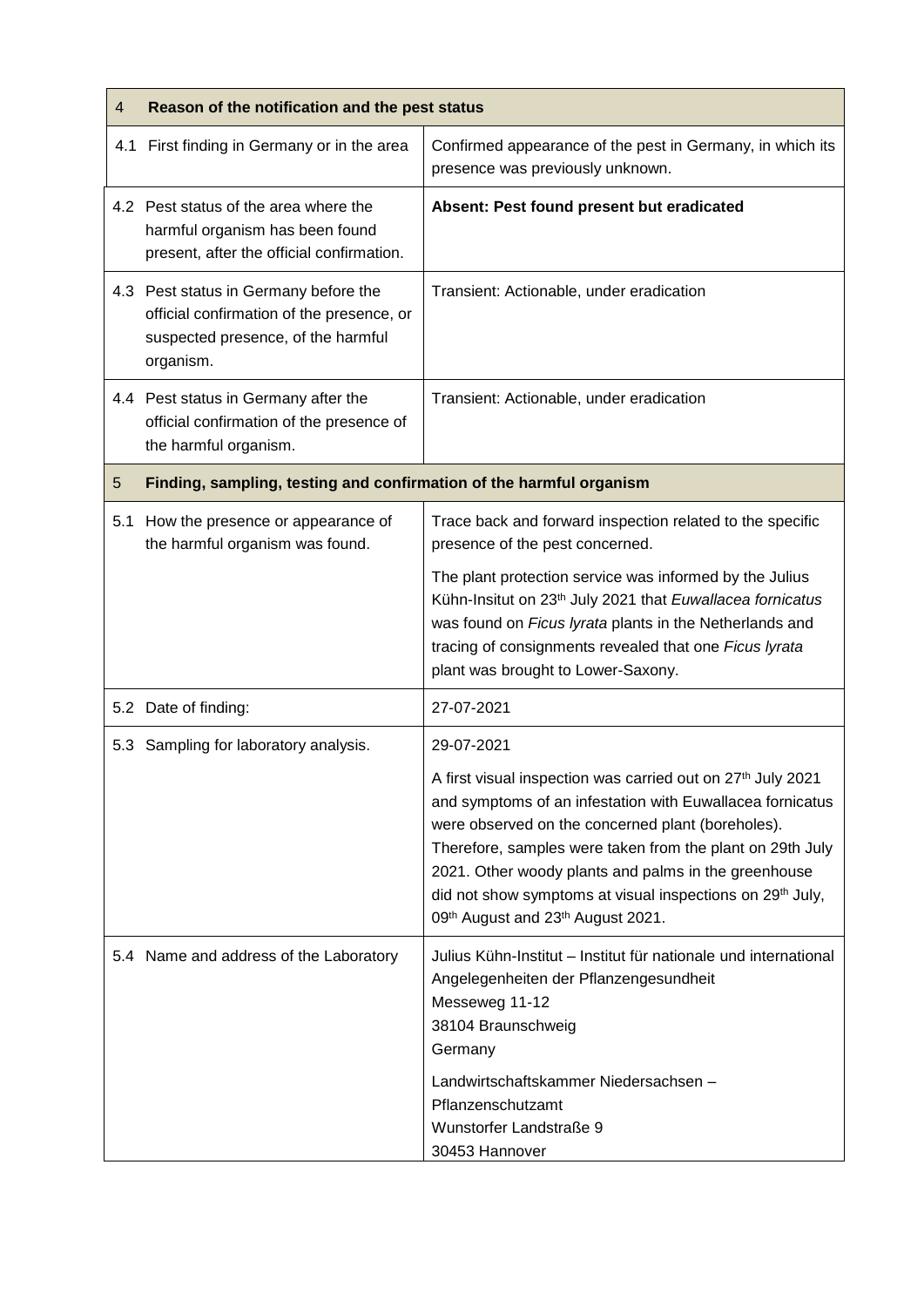| $\overline{4}$ | Reason of the notification and the pest status                                                                                        |                                                                                                                                                                                                                                                                                                                                                   |
|----------------|---------------------------------------------------------------------------------------------------------------------------------------|---------------------------------------------------------------------------------------------------------------------------------------------------------------------------------------------------------------------------------------------------------------------------------------------------------------------------------------------------|
|                | 4.1 First finding in Germany or in the area                                                                                           | Confirmed appearance of the pest in Germany, in which its<br>presence was previously unknown.                                                                                                                                                                                                                                                     |
|                | 4.2 Pest status of the area where the<br>harmful organism has been found<br>present, after the official confirmation.                 | Absent: Pest found present but eradicated                                                                                                                                                                                                                                                                                                         |
|                | 4.3 Pest status in Germany before the<br>official confirmation of the presence, or<br>suspected presence, of the harmful<br>organism. | Transient: Actionable, under eradication                                                                                                                                                                                                                                                                                                          |
|                | 4.4 Pest status in Germany after the<br>official confirmation of the presence of<br>the harmful organism.                             | Transient: Actionable, under eradication                                                                                                                                                                                                                                                                                                          |
| 5              | Finding, sampling, testing and confirmation of the harmful organism                                                                   |                                                                                                                                                                                                                                                                                                                                                   |
| 5.1            | How the presence or appearance of<br>the harmful organism was found.                                                                  | Trace back and forward inspection related to the specific<br>presence of the pest concerned.                                                                                                                                                                                                                                                      |
|                |                                                                                                                                       | The plant protection service was informed by the Julius<br>Kühn-Insitut on 23 <sup>th</sup> July 2021 that Euwallacea fornicatus<br>was found on Ficus lyrata plants in the Netherlands and<br>tracing of consignments revealed that one Ficus lyrata<br>plant was brought to Lower-Saxony.                                                       |
|                | 5.2 Date of finding:                                                                                                                  | 27-07-2021                                                                                                                                                                                                                                                                                                                                        |
|                | 5.3 Sampling for laboratory analysis.                                                                                                 | 29-07-2021<br>A first visual inspection was carried out on 27th July 2021                                                                                                                                                                                                                                                                         |
|                |                                                                                                                                       | and symptoms of an infestation with Euwallacea fornicatus<br>were observed on the concerned plant (boreholes).<br>Therefore, samples were taken from the plant on 29th July<br>2021. Other woody plants and palms in the greenhouse<br>did not show symptoms at visual inspections on 29 <sup>th</sup> July,<br>09th August and 23th August 2021. |
|                | 5.4 Name and address of the Laboratory                                                                                                | Julius Kühn-Institut – Institut für nationale und international<br>Angelegenheiten der Pflanzengesundheit<br>Messeweg 11-12<br>38104 Braunschweig<br>Germany<br>Landwirtschaftskammer Niedersachsen -                                                                                                                                             |
|                |                                                                                                                                       | Pflanzenschutzamt<br>Wunstorfer Landstraße 9<br>30453 Hannover                                                                                                                                                                                                                                                                                    |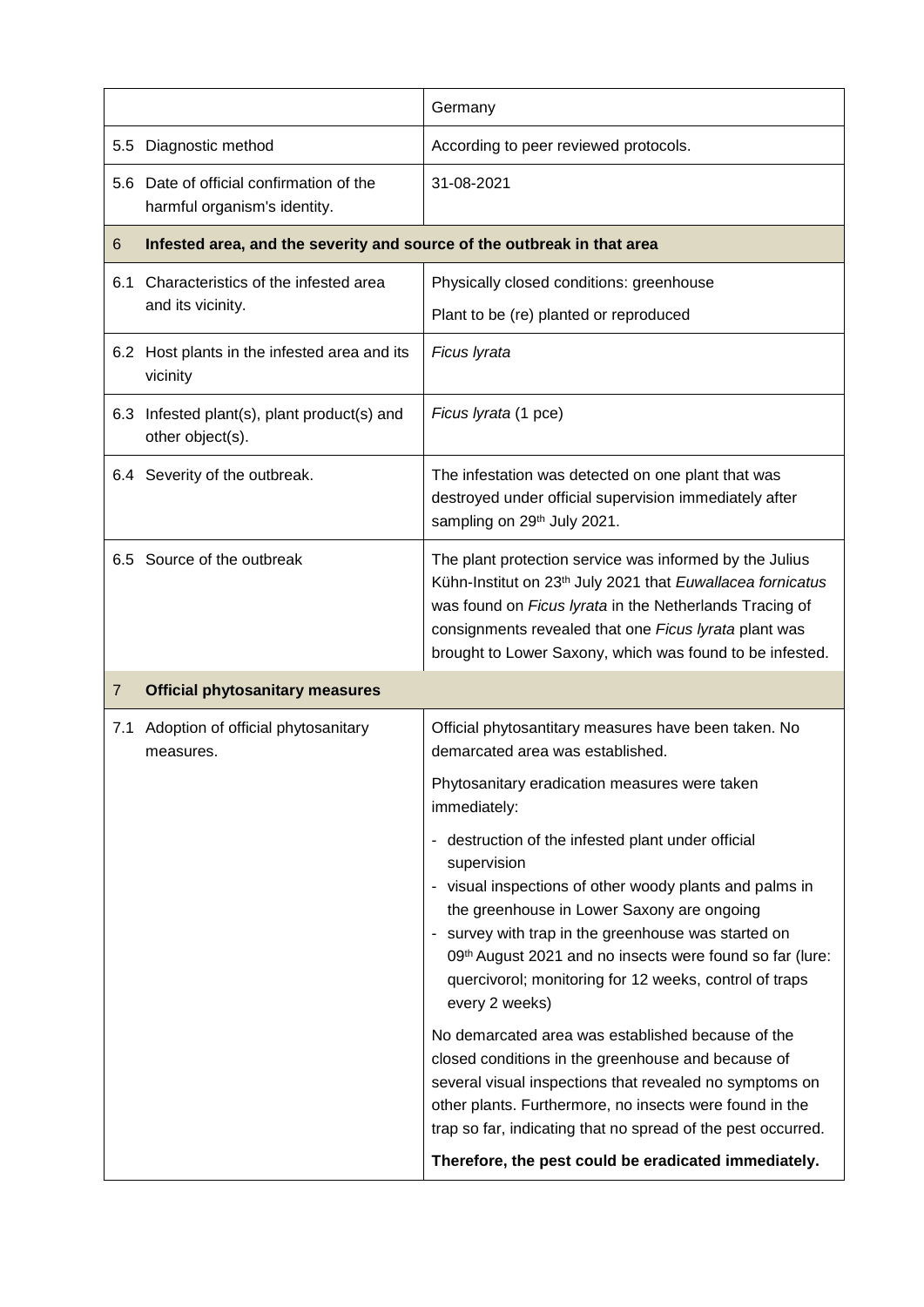|                |                                                                          | Germany                                                                                                                                                                                                                                                                                                                                                                   |
|----------------|--------------------------------------------------------------------------|---------------------------------------------------------------------------------------------------------------------------------------------------------------------------------------------------------------------------------------------------------------------------------------------------------------------------------------------------------------------------|
| 5.5            | Diagnostic method                                                        | According to peer reviewed protocols.                                                                                                                                                                                                                                                                                                                                     |
|                | 5.6 Date of official confirmation of the<br>harmful organism's identity. | 31-08-2021                                                                                                                                                                                                                                                                                                                                                                |
| 6              | Infested area, and the severity and source of the outbreak in that area  |                                                                                                                                                                                                                                                                                                                                                                           |
| 6.1            | Characteristics of the infested area<br>and its vicinity.                | Physically closed conditions: greenhouse<br>Plant to be (re) planted or reproduced                                                                                                                                                                                                                                                                                        |
|                | 6.2 Host plants in the infested area and its<br>vicinity                 | Ficus Iyrata                                                                                                                                                                                                                                                                                                                                                              |
|                | 6.3 Infested plant(s), plant product(s) and<br>other object(s).          | Ficus Iyrata (1 pce)                                                                                                                                                                                                                                                                                                                                                      |
|                | 6.4 Severity of the outbreak.                                            | The infestation was detected on one plant that was<br>destroyed under official supervision immediately after<br>sampling on 29th July 2021.                                                                                                                                                                                                                               |
|                | 6.5 Source of the outbreak                                               | The plant protection service was informed by the Julius<br>Kühn-Institut on 23 <sup>th</sup> July 2021 that Euwallacea fornicatus<br>was found on Ficus lyrata in the Netherlands Tracing of<br>consignments revealed that one Ficus lyrata plant was<br>brought to Lower Saxony, which was found to be infested.                                                         |
| $\overline{7}$ | <b>Official phytosanitary measures</b>                                   |                                                                                                                                                                                                                                                                                                                                                                           |
| 7.1            | Adoption of official phytosanitary<br>measures.                          | Official phytosantitary measures have been taken. No<br>demarcated area was established.                                                                                                                                                                                                                                                                                  |
|                |                                                                          | Phytosanitary eradication measures were taken<br>immediately:                                                                                                                                                                                                                                                                                                             |
|                |                                                                          | - destruction of the infested plant under official<br>supervision<br>- visual inspections of other woody plants and palms in<br>the greenhouse in Lower Saxony are ongoing<br>- survey with trap in the greenhouse was started on<br>09th August 2021 and no insects were found so far (lure:<br>quercivorol; monitoring for 12 weeks, control of traps<br>every 2 weeks) |
|                |                                                                          | No demarcated area was established because of the<br>closed conditions in the greenhouse and because of<br>several visual inspections that revealed no symptoms on<br>other plants. Furthermore, no insects were found in the<br>trap so far, indicating that no spread of the pest occurred.                                                                             |
|                |                                                                          | Therefore, the pest could be eradicated immediately.                                                                                                                                                                                                                                                                                                                      |